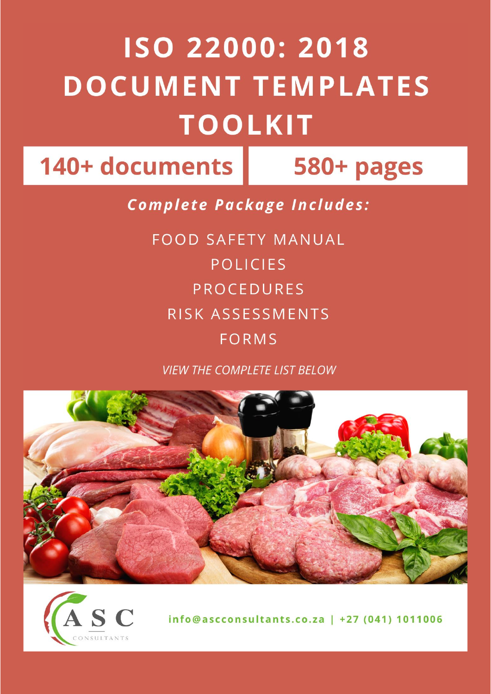## ISO 22000: 2018 **DOCUMENT TEMPLATES TOOLKIT**

140+ documents | 580+ pages

**Complete Package Includes:** 

**FOOD SAFETY MANUAL POLICIES PROCEDURES** RISK ASSESSMENTS **FORMS** 

**VIFW THE COMPLETE LIST BELOW** 





info@ascconsultants.co.za | +27 (041) 1011006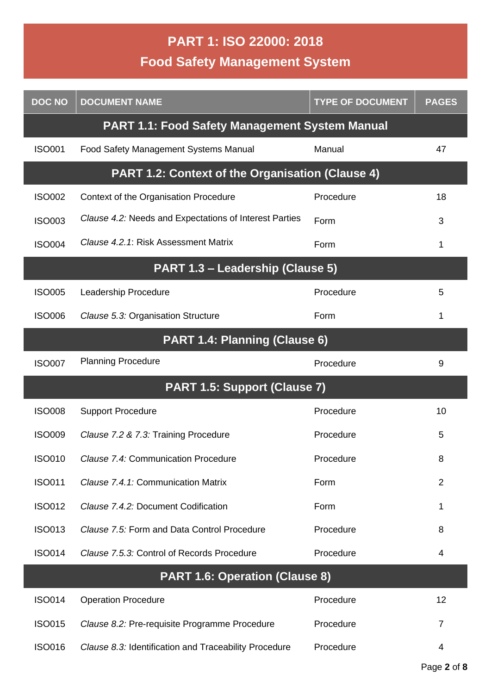## **PART 1: ISO 22000: 2018 Food Safety Management System**

| <b>DOC NO</b>                         | <b>DOCUMENT NAME</b>                                    | <b>TYPE OF DOCUMENT</b> | <b>PAGES</b>   |  |
|---------------------------------------|---------------------------------------------------------|-------------------------|----------------|--|
|                                       | <b>PART 1.1: Food Safety Management System Manual</b>   |                         |                |  |
| <b>ISO001</b>                         | Food Safety Management Systems Manual                   | Manual                  | 47             |  |
|                                       | <b>PART 1.2: Context of the Organisation (Clause 4)</b> |                         |                |  |
| <b>ISO002</b>                         | Context of the Organisation Procedure                   | Procedure               | 18             |  |
| <b>ISO003</b>                         | Clause 4.2: Needs and Expectations of Interest Parties  | Form                    | 3              |  |
| <b>ISO004</b>                         | Clause 4.2.1: Risk Assessment Matrix                    | Form                    | 1              |  |
|                                       | PART 1.3 - Leadership (Clause 5)                        |                         |                |  |
| <b>ISO005</b>                         | Leadership Procedure                                    | Procedure               | 5              |  |
| <b>ISO006</b>                         | Clause 5.3: Organisation Structure                      | Form                    | 1              |  |
| PART 1.4: Planning (Clause 6)         |                                                         |                         |                |  |
| <b>ISO007</b>                         | <b>Planning Procedure</b>                               | Procedure               | 9              |  |
|                                       | PART 1.5: Support (Clause 7)                            |                         |                |  |
| <b>ISO008</b>                         | <b>Support Procedure</b>                                | Procedure               | 10             |  |
| <b>ISO009</b>                         | Clause 7.2 & 7.3: Training Procedure                    | Procedure               | 5              |  |
| <b>ISO010</b>                         | Clause 7.4: Communication Procedure                     | Procedure               | 8              |  |
| <b>ISO011</b>                         | Clause 7.4.1: Communication Matrix                      | Form                    | $\overline{2}$ |  |
| <b>ISO012</b>                         | Clause 7.4.2: Document Codification                     | Form                    | 1              |  |
| <b>ISO013</b>                         | Clause 7.5: Form and Data Control Procedure             | Procedure               | 8              |  |
| <b>ISO014</b>                         | Clause 7.5.3: Control of Records Procedure              | Procedure               | 4              |  |
| <b>PART 1.6: Operation (Clause 8)</b> |                                                         |                         |                |  |
| <b>ISO014</b>                         | <b>Operation Procedure</b>                              | Procedure               | 12             |  |
| <b>ISO015</b>                         | Clause 8.2: Pre-requisite Programme Procedure           | Procedure               | $\overline{7}$ |  |
| <b>ISO016</b>                         | Clause 8.3: Identification and Traceability Procedure   | Procedure               | 4              |  |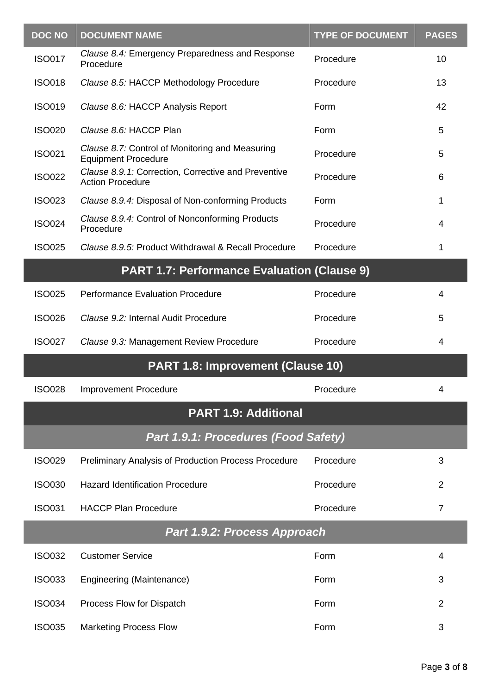| <b>DOC NO</b>                        | <b>DOCUMENT NAME</b>                                                           | <b>TYPE OF DOCUMENT</b> | <b>PAGES</b>   |  |
|--------------------------------------|--------------------------------------------------------------------------------|-------------------------|----------------|--|
| <b>ISO017</b>                        | Clause 8.4: Emergency Preparedness and Response<br>Procedure                   | Procedure               | 10             |  |
| <b>ISO018</b>                        | Clause 8.5: HACCP Methodology Procedure                                        | Procedure               | 13             |  |
| <b>ISO019</b>                        | Clause 8.6: HACCP Analysis Report                                              | Form                    | 42             |  |
| <b>ISO020</b>                        | Clause 8.6: HACCP Plan                                                         | Form                    | 5              |  |
| <b>ISO021</b>                        | Clause 8.7: Control of Monitoring and Measuring<br><b>Equipment Procedure</b>  | Procedure               | 5              |  |
| <b>ISO022</b>                        | Clause 8.9.1: Correction, Corrective and Preventive<br><b>Action Procedure</b> | Procedure               | 6              |  |
| <b>ISO023</b>                        | Clause 8.9.4: Disposal of Non-conforming Products                              | Form                    | 1              |  |
| <b>ISO024</b>                        | Clause 8.9.4: Control of Nonconforming Products<br>Procedure                   | Procedure               | 4              |  |
| <b>ISO025</b>                        | Clause 8.9.5: Product Withdrawal & Recall Procedure                            | Procedure               | 1              |  |
|                                      | <b>PART 1.7: Performance Evaluation (Clause 9)</b>                             |                         |                |  |
| <b>ISO025</b>                        | <b>Performance Evaluation Procedure</b>                                        | Procedure               | 4              |  |
| <b>ISO026</b>                        | Clause 9.2: Internal Audit Procedure                                           | Procedure               | 5              |  |
| <b>ISO027</b>                        | Clause 9.3: Management Review Procedure                                        | Procedure               | 4              |  |
|                                      | PART 1.8: Improvement (Clause 10)                                              |                         |                |  |
| <b>ISO028</b>                        | <b>Improvement Procedure</b>                                                   | Procedure               | 4              |  |
|                                      | <b>PART 1.9: Additional</b>                                                    |                         |                |  |
| Part 1.9.1: Procedures (Food Safety) |                                                                                |                         |                |  |
| <b>ISO029</b>                        | <b>Preliminary Analysis of Production Process Procedure</b>                    | Procedure               | 3              |  |
| <b>ISO030</b>                        | <b>Hazard Identification Procedure</b>                                         | Procedure               | 2              |  |
| <b>ISO031</b>                        | <b>HACCP Plan Procedure</b>                                                    | Procedure               | $\overline{7}$ |  |
| Part 1.9.2: Process Approach         |                                                                                |                         |                |  |
| <b>ISO032</b>                        | <b>Customer Service</b>                                                        | Form                    | 4              |  |
| <b>ISO033</b>                        | Engineering (Maintenance)                                                      | Form                    | 3              |  |
| <b>ISO034</b>                        | Process Flow for Dispatch                                                      | Form                    | $\overline{2}$ |  |
| <b>ISO035</b>                        | <b>Marketing Process Flow</b>                                                  | Form                    | 3              |  |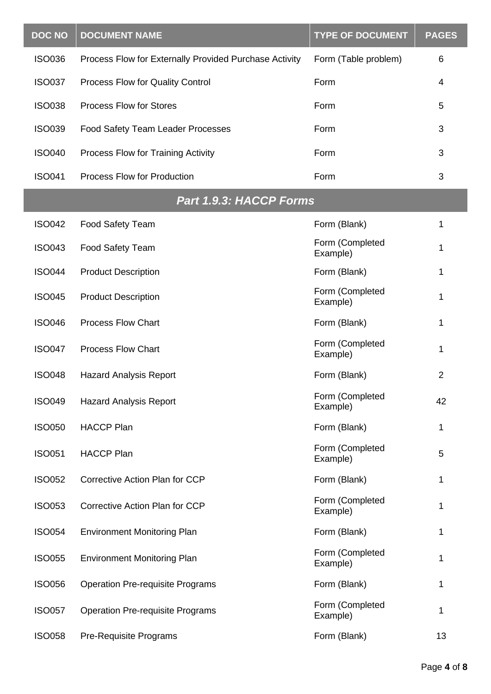| <b>DOC NO</b> | <b>DOCUMENT NAME</b>                                   | <b>TYPE OF DOCUMENT</b>     | <b>PAGES</b> |
|---------------|--------------------------------------------------------|-----------------------------|--------------|
| <b>ISO036</b> | Process Flow for Externally Provided Purchase Activity | Form (Table problem)        | 6            |
| <b>ISO037</b> | Process Flow for Quality Control                       | Form                        | 4            |
| <b>ISO038</b> | <b>Process Flow for Stores</b>                         | Form                        | 5            |
| <b>ISO039</b> | Food Safety Team Leader Processes                      | Form                        | 3            |
| <b>ISO040</b> | Process Flow for Training Activity                     | Form                        | 3            |
| <b>ISO041</b> | <b>Process Flow for Production</b>                     | Form                        | 3            |
|               | <b>Part 1.9.3: HACCP Forms</b>                         |                             |              |
| <b>ISO042</b> | <b>Food Safety Team</b>                                | Form (Blank)                | 1            |
| <b>ISO043</b> | <b>Food Safety Team</b>                                | Form (Completed<br>Example) | 1            |
| <b>ISO044</b> | <b>Product Description</b>                             | Form (Blank)                | 1            |
| <b>ISO045</b> | <b>Product Description</b>                             | Form (Completed<br>Example) | 1            |
| <b>ISO046</b> | <b>Process Flow Chart</b>                              | Form (Blank)                | 1            |
| <b>ISO047</b> | <b>Process Flow Chart</b>                              | Form (Completed<br>Example) | 1            |
| <b>ISO048</b> | <b>Hazard Analysis Report</b>                          | Form (Blank)                | 2            |
| <b>ISO049</b> | <b>Hazard Analysis Report</b>                          | Form (Completed<br>Example) | 42           |
| <b>ISO050</b> | <b>HACCP Plan</b>                                      | Form (Blank)                | 1            |
| <b>ISO051</b> | <b>HACCP Plan</b>                                      | Form (Completed<br>Example) | 5            |
| <b>ISO052</b> | <b>Corrective Action Plan for CCP</b>                  | Form (Blank)                | 1            |
| <b>ISO053</b> | Corrective Action Plan for CCP                         | Form (Completed<br>Example) | 1            |
| <b>ISO054</b> | <b>Environment Monitoring Plan</b>                     | Form (Blank)                | 1            |
| <b>ISO055</b> | <b>Environment Monitoring Plan</b>                     | Form (Completed<br>Example) | 1            |
| <b>ISO056</b> | <b>Operation Pre-requisite Programs</b>                | Form (Blank)                | 1            |
| <b>ISO057</b> | <b>Operation Pre-requisite Programs</b>                | Form (Completed<br>Example) | 1            |
| <b>ISO058</b> | <b>Pre-Requisite Programs</b>                          | Form (Blank)                | 13           |

I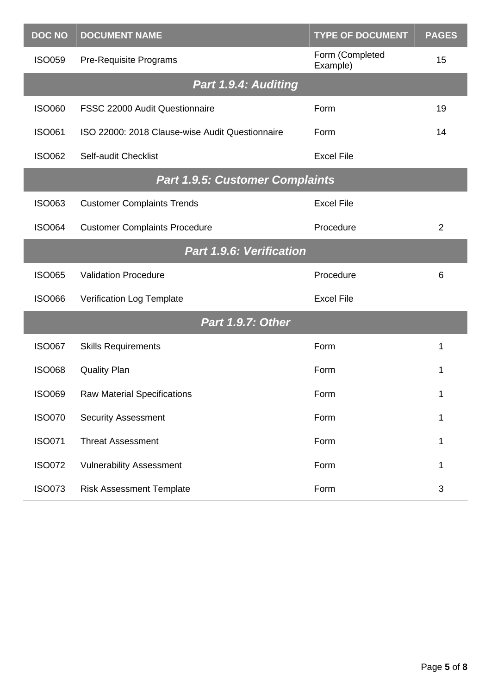| <b>DOC NO</b>            | <b>DOCUMENT NAME</b>                            | <b>TYPE OF DOCUMENT</b>     | <b>PAGES</b> |
|--------------------------|-------------------------------------------------|-----------------------------|--------------|
| <b>ISO059</b>            | <b>Pre-Requisite Programs</b>                   | Form (Completed<br>Example) | 15           |
|                          | Part 1.9.4: Auditing                            |                             |              |
| <b>ISO060</b>            | FSSC 22000 Audit Questionnaire                  | Form                        | 19           |
| <b>ISO061</b>            | ISO 22000: 2018 Clause-wise Audit Questionnaire | Form                        | 14           |
| <b>ISO062</b>            | Self-audit Checklist                            | <b>Excel File</b>           |              |
|                          | <b>Part 1.9.5: Customer Complaints</b>          |                             |              |
| <b>ISO063</b>            | <b>Customer Complaints Trends</b>               | <b>Excel File</b>           |              |
| <b>ISO064</b>            | <b>Customer Complaints Procedure</b>            | Procedure                   | 2            |
| Part 1.9.6: Verification |                                                 |                             |              |
| <b>ISO065</b>            | <b>Validation Procedure</b>                     | Procedure                   | 6            |
| <b>ISO066</b>            | Verification Log Template                       | <b>Excel File</b>           |              |
| <b>Part 1.9.7: Other</b> |                                                 |                             |              |
| <b>ISO067</b>            | <b>Skills Requirements</b>                      | Form                        | 1            |
| <b>ISO068</b>            | <b>Quality Plan</b>                             | Form                        | 1            |
| <b>ISO069</b>            | <b>Raw Material Specifications</b>              | Form                        | 1            |
| <b>ISO070</b>            | <b>Security Assessment</b>                      | Form                        | 1            |
| <b>ISO071</b>            | <b>Threat Assessment</b>                        | Form                        | 1            |
| <b>ISO072</b>            | <b>Vulnerability Assessment</b>                 | Form                        | 1            |
| <b>ISO073</b>            | <b>Risk Assessment Template</b>                 | Form                        | 3            |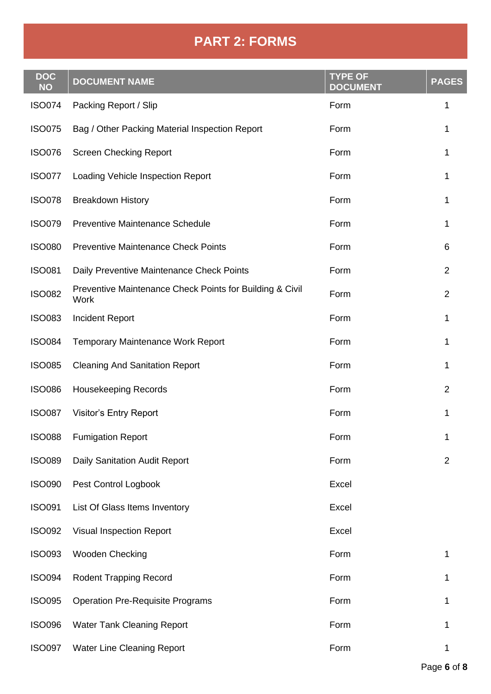## **PART 2: FORMS**

| <b>DOC</b><br><b>NO</b> | <b>DOCUMENT NAME</b>                                             | <b>TYPE OF</b><br><b>DOCUMENT</b> | <b>PAGES</b>   |
|-------------------------|------------------------------------------------------------------|-----------------------------------|----------------|
| <b>ISO074</b>           | Packing Report / Slip                                            | Form                              | 1              |
| <b>ISO075</b>           | Bag / Other Packing Material Inspection Report                   | Form                              | 1              |
| <b>ISO076</b>           | <b>Screen Checking Report</b>                                    | Form                              | 1              |
| <b>ISO077</b>           | Loading Vehicle Inspection Report                                | Form                              | 1              |
| <b>ISO078</b>           | <b>Breakdown History</b>                                         | Form                              | 1              |
| <b>ISO079</b>           | <b>Preventive Maintenance Schedule</b>                           | Form                              | 1              |
| <b>ISO080</b>           | <b>Preventive Maintenance Check Points</b>                       | Form                              | 6              |
| <b>ISO081</b>           | Daily Preventive Maintenance Check Points                        | Form                              | 2              |
| <b>ISO082</b>           | Preventive Maintenance Check Points for Building & Civil<br>Work | Form                              | $\overline{2}$ |
| <b>ISO083</b>           | <b>Incident Report</b>                                           | Form                              | 1              |
| <b>ISO084</b>           | <b>Temporary Maintenance Work Report</b>                         | Form                              | 1              |
| <b>ISO085</b>           | <b>Cleaning And Sanitation Report</b>                            | Form                              | 1              |
| <b>ISO086</b>           | <b>Housekeeping Records</b>                                      | Form                              | $\overline{2}$ |
| <b>ISO087</b>           | <b>Visitor's Entry Report</b>                                    | Form                              | 1              |
| <b>ISO088</b>           | <b>Fumigation Report</b>                                         | Form                              | 1              |
| <b>ISO089</b>           | Daily Sanitation Audit Report                                    | Form                              | $\overline{2}$ |
| <b>ISO090</b>           | Pest Control Logbook                                             | Excel                             |                |
| <b>ISO091</b>           | List Of Glass Items Inventory                                    | Excel                             |                |
| <b>ISO092</b>           | <b>Visual Inspection Report</b>                                  | Excel                             |                |
| <b>ISO093</b>           | Wooden Checking                                                  | Form                              | 1              |
| <b>ISO094</b>           | <b>Rodent Trapping Record</b>                                    | Form                              | 1              |
| <b>ISO095</b>           | <b>Operation Pre-Requisite Programs</b>                          | Form                              | 1              |
| <b>ISO096</b>           | <b>Water Tank Cleaning Report</b>                                | Form                              | 1              |
| <b>ISO097</b>           | <b>Water Line Cleaning Report</b>                                | Form                              | 1              |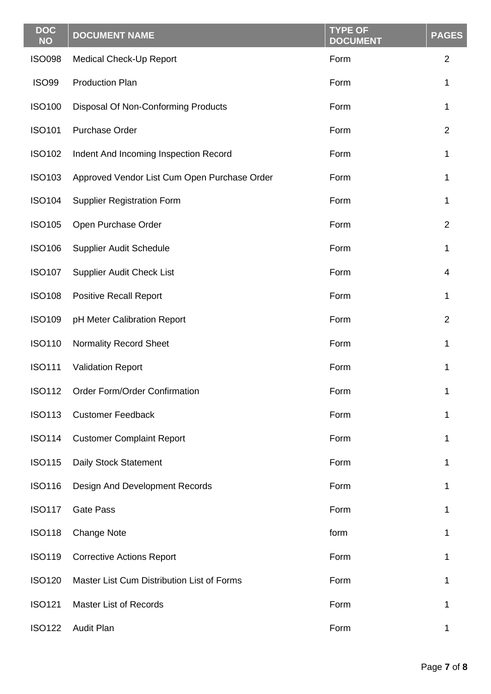| <b>DOC</b><br><b>NO</b> | <b>DOCUMENT NAME</b>                         | <b>TYPE OF</b><br><b>DOCUMENT</b> | <b>PAGES</b>   |
|-------------------------|----------------------------------------------|-----------------------------------|----------------|
| <b>ISO098</b>           | <b>Medical Check-Up Report</b>               | Form                              | $\overline{2}$ |
| <b>ISO99</b>            | <b>Production Plan</b>                       | Form                              | 1              |
| <b>ISO100</b>           | Disposal Of Non-Conforming Products          | Form                              | 1              |
| <b>ISO101</b>           | <b>Purchase Order</b>                        | Form                              | $\overline{2}$ |
| <b>ISO102</b>           | Indent And Incoming Inspection Record        | Form                              | 1              |
| <b>ISO103</b>           | Approved Vendor List Cum Open Purchase Order | Form                              | 1              |
| <b>ISO104</b>           | <b>Supplier Registration Form</b>            | Form                              | 1              |
| <b>ISO105</b>           | Open Purchase Order                          | Form                              | 2              |
| <b>ISO106</b>           | Supplier Audit Schedule                      | Form                              | 1              |
| <b>ISO107</b>           | <b>Supplier Audit Check List</b>             | Form                              | 4              |
| <b>ISO108</b>           | <b>Positive Recall Report</b>                | Form                              | 1              |
| <b>ISO109</b>           | pH Meter Calibration Report                  | Form                              | $\overline{2}$ |
| <b>ISO110</b>           | <b>Normality Record Sheet</b>                | Form                              | 1              |
| <b>ISO111</b>           | <b>Validation Report</b>                     | Form                              | 1              |
| <b>ISO112</b>           | Order Form/Order Confirmation                | Form                              | 1              |
| <b>ISO113</b>           | <b>Customer Feedback</b>                     | Form                              | 1              |
| <b>ISO114</b>           | <b>Customer Complaint Report</b>             | Form                              | 1              |
| <b>ISO115</b>           | Daily Stock Statement                        | Form                              | 1              |
| <b>ISO116</b>           | Design And Development Records               | Form                              | 1              |
| <b>ISO117</b>           | <b>Gate Pass</b>                             | Form                              | 1              |
| <b>ISO118</b>           | <b>Change Note</b>                           | form                              | 1              |
| <b>ISO119</b>           | <b>Corrective Actions Report</b>             | Form                              | 1              |
| <b>ISO120</b>           | Master List Cum Distribution List of Forms   | Form                              | 1              |
| <b>ISO121</b>           | <b>Master List of Records</b>                | Form                              | 1              |
| <b>ISO122</b>           | <b>Audit Plan</b>                            | Form                              | 1              |